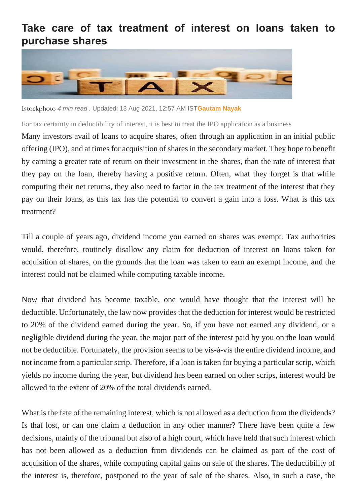## **Take care of tax treatment of interest on loans taken to purchase shares**



Istockphoto *4 min read .* Updated: 13 Aug 2021, 12:57 AM IST**[Gautam Nayak](https://www.livemint.com/Search/Link/Author/Gautam-Nayak)**

For tax certainty in deductibility of interest, it is best to treat the IPO application as a business

Many investors avail of loans to acquire shares, often through an application in an initial public offering (IPO), and at times for acquisition of shares in the secondary market. They hope to benefit by earning a greater rate of return on their investment in the shares, than the rate of interest that they pay on the loan, thereby having a positive return. Often, what they forget is that while computing their net returns, they also need to factor in the tax treatment of the interest that they pay on their loans, as this tax has the potential to convert a gain into a loss. What is this tax treatment?

Till a couple of years ago, dividend income you earned on shares was exempt. Tax authorities would, therefore, routinely disallow any claim for deduction of interest on loans taken for acquisition of shares, on the grounds that the loan was taken to earn an exempt income, and the interest could not be claimed while computing taxable income.

Now that dividend has become taxable, one would have thought that the interest will be deductible. Unfortunately, the law now provides that the deduction for interest would be restricted to 20% of the dividend earned during the year. So, if you have not earned any dividend, or a negligible dividend during the year, the major part of the interest paid by you on the loan would not be deductible. Fortunately, the provision seems to be vis-à-vis the entire dividend income, and not income from a particular scrip. Therefore, if a loan is taken for buying a particular scrip, which yields no income during the year, but dividend has been earned on other scrips, interest would be allowed to the extent of 20% of the total dividends earned.

What is the fate of the remaining interest, which is not allowed as a deduction from the dividends? Is that lost, or can one claim a deduction in any other manner? There have been quite a few decisions, mainly of the tribunal but also of a high court, which have held that such interest which has not been allowed as a deduction from dividends can be claimed as part of the cost of acquisition of the shares, while computing capital gains on sale of the shares. The deductibility of the interest is, therefore, postponed to the year of sale of the shares. Also, in such a case, the